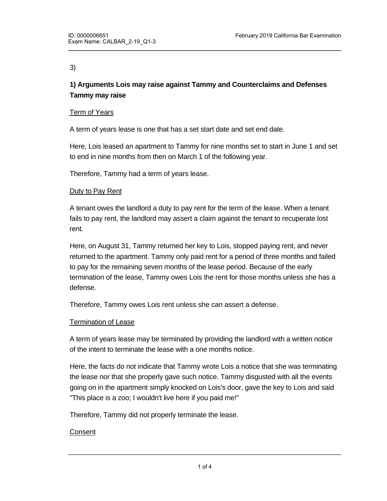### 3)

# **1) Arguments Lois may raise against Tammy and Counterclaims and Defenses Tammy may raise**

## Term of Years

A term of years lease is one that has a set start date and set end date.

Here, Lois leased an apartment to Tammy for nine months set to start in June 1 and set to end in nine months from then on March 1 of the following year.

Therefore, Tammy had a term of years lease.

#### Duty to Pay Rent

A tenant owes the landlord a duty to pay rent for the term of the lease. When a tenant fails to pay rent, the landlord may assert a claim against the tenant to recuperate lost rent.

Here, on August 31, Tammy returned her key to Lois, stopped paying rent, and never returned to the apartment. Tammy only paid rent for a period of three months and failed to pay for the remaining seven months of the lease period. Because of the early termination of the lease, Tammy owes Lois the rent for those months unless she has a defense.

Therefore, Tammy owes Lois rent unless she can assert a defense.

#### Termination of Lease

A term of years lease may be terminated by providing the landlord with a written notice of the intent to terminate the lease with a one months notice.

Here, the facts do not indicate that Tammy wrote Lois a notice that she was terminating the lease nor that she properly gave such notice. Tammy disgusted with all the events going on in the apartment simply knocked on Lois's door, gave the key to Lois and said "This place is a zoo; I wouldn't live here if you paid me!"

Therefore, Tammy did not properly terminate the lease.

#### **Consent**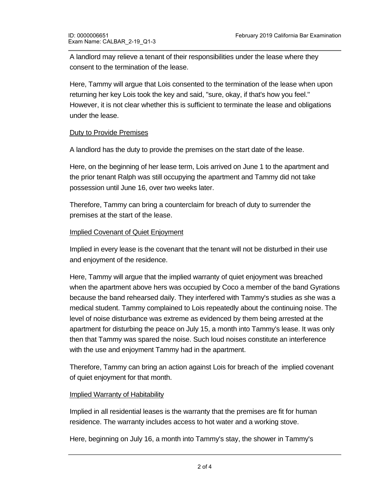A landlord may relieve a tenant of their responsibilities under the lease where they consent to the termination of the lease.

Here, Tammy will argue that Lois consented to the termination of the lease when upon returning her key Lois took the key and said, "sure, okay, if that's how you feel." However, it is not clear whether this is sufficient to terminate the lease and obligations under the lease.

## Duty to Provide Premises

A landlord has the duty to provide the premises on the start date of the lease.

Here, on the beginning of her lease term, Lois arrived on June 1 to the apartment and the prior tenant Ralph was still occupying the apartment and Tammy did not take possession until June 16, over two weeks later.

Therefore, Tammy can bring a counterclaim for breach of duty to surrender the premises at the start of the lease.

#### Implied Covenant of Quiet Enjoyment

Implied in every lease is the covenant that the tenant will not be disturbed in their use and enjoyment of the residence.

Here, Tammy will argue that the implied warranty of quiet enjoyment was breached when the apartment above hers was occupied by Coco a member of the band Gyrations because the band rehearsed daily. They interfered with Tammy's studies as she was a medical student. Tammy complained to Lois repeatedly about the continuing noise. The level of noise disturbance was extreme as evidenced by them being arrested at the apartment for disturbing the peace on July 15, a month into Tammy's lease. It was only then that Tammy was spared the noise. Such loud noises constitute an interference with the use and enjoyment Tammy had in the apartment.

Therefore, Tammy can bring an action against Lois for breach of the implied covenant of quiet enjoyment for that month.

#### Implied Warranty of Habitability

Implied in all residential leases is the warranty that the premises are fit for human residence. The warranty includes access to hot water and a working stove.

Here, beginning on July 16, a month into Tammy's stay, the shower in Tammy's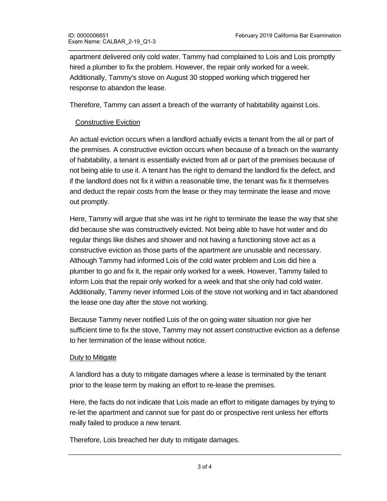apartment delivered only cold water. Tammy had complained to Lois and Lois promptly hired a plumber to fix the problem. However, the repair only worked for a week. Additionally, Tammy's stove on August 30 stopped working which triggered her response to abandon the lease.

Therefore, Tammy can assert a breach of the warranty of habitability against Lois.

## Constructive Eviction

An actual eviction occurs when a landlord actually evicts a tenant from the all or part of the premises. A constructive eviction occurs when because of a breach on the warranty of habitability, a tenant is essentially evicted from all or part of the premises because of not being able to use it. A tenant has the right to demand the landlord fix the defect, and if the landlord does not fix it within a reasonable time, the tenant was fix it themselves and deduct the repair costs from the lease or they may terminate the lease and move out promptly.

Here, Tammy will argue that she was int he right to terminate the lease the way that she did because she was constructively evicted. Not being able to have hot water and do regular things like dishes and shower and not having a functioning stove act as a constructive eviction as those parts of the apartment are unusable and necessary. Although Tammy had informed Lois of the cold water problem and Lois did hire a plumber to go and fix it, the repair only worked for a week. However, Tammy failed to inform Lois that the repair only worked for a week and that she only had cold water. Additionally, Tammy never informed Lois of the stove not working and in fact abandoned the lease one day after the stove not working.

Because Tammy never notified Lois of the on going water situation nor give her sufficient time to fix the stove, Tammy may not assert constructive eviction as a defense to her termination of the lease without notice.

#### Duty to Mitigate

<u>Conclusion Conclusion Conclusion Conclusion Conclusion Conclusion Conclusion Conclusion Conclusion Conclusion Co</u>

A landlord has a duty to mitigate damages where a lease is terminated by the tenant prior to the lease term by making an effort to re-lease the premises.

Here, the facts do not indicate that Lois made an effort to mitigate damages by trying to re-let the apartment and cannot sue for past do or prospective rent unless her efforts really failed to produce a new tenant.

Therefore, Lois breached her duty to mitigate damages.